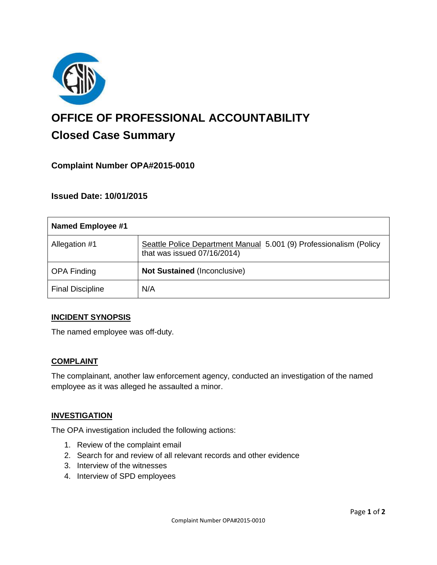

# **OFFICE OF PROFESSIONAL ACCOUNTABILITY Closed Case Summary**

# **Complaint Number OPA#2015-0010**

### **Issued Date: 10/01/2015**

| <b>Named Employee #1</b> |                                                                                                   |
|--------------------------|---------------------------------------------------------------------------------------------------|
| Allegation #1            | Seattle Police Department Manual 5.001 (9) Professionalism (Policy<br>that was issued 07/16/2014) |
| <b>OPA Finding</b>       | <b>Not Sustained (Inconclusive)</b>                                                               |
| <b>Final Discipline</b>  | N/A                                                                                               |

#### **INCIDENT SYNOPSIS**

The named employee was off-duty.

#### **COMPLAINT**

The complainant, another law enforcement agency, conducted an investigation of the named employee as it was alleged he assaulted a minor.

#### **INVESTIGATION**

The OPA investigation included the following actions:

- 1. Review of the complaint email
- 2. Search for and review of all relevant records and other evidence
- 3. Interview of the witnesses
- 4. Interview of SPD employees